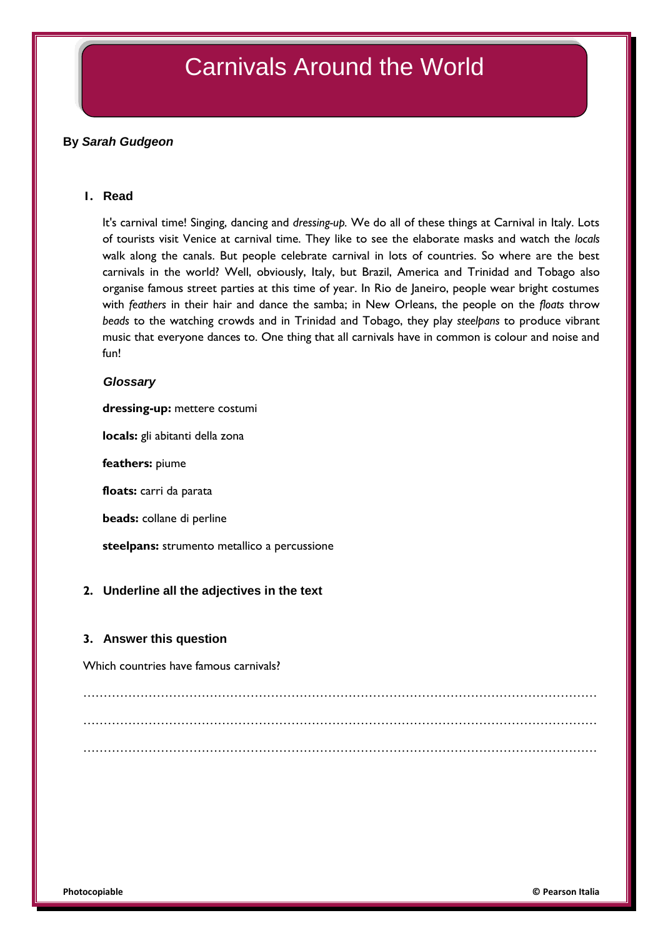# Carnivals Around the World

## **By** *Sarah Gudgeon*

## **1. Read**

It's carnival time! Singing, dancing and *dressing-up.* We do all of these things at Carnival in Italy. Lots of tourists visit Venice at carnival time. They like to see the elaborate masks and watch the *locals* walk along the canals. But people celebrate carnival in lots of countries. So where are the best carnivals in the world? Well, obviously, Italy, but Brazil, America and Trinidad and Tobago also organise famous street parties at this time of year. In Rio de Janeiro, people wear bright costumes with *feathers* in their hair and dance the samba; in New Orleans, the people on the *floats* throw *beads* to the watching crowds and in Trinidad and Tobago, they play *steelpans* to produce vibrant music that everyone dances to. One thing that all carnivals have in common is colour and noise and fun!

#### *Glossary*

**dressing-up:** mettere costumi

**locals:** gli abitanti della zona

**feathers:** piume

**floats:** carri da parata

**beads:** collane di perline

**steelpans:** strumento metallico a percussione

## **2. Underline all the adjectives in the text**

#### **3. Answer this question**

Which countries have famous carnivals?

……………………………………………………………………………………………………………… ……………………………………………………………………………………………………………… ………………………………………………………………………………………………………………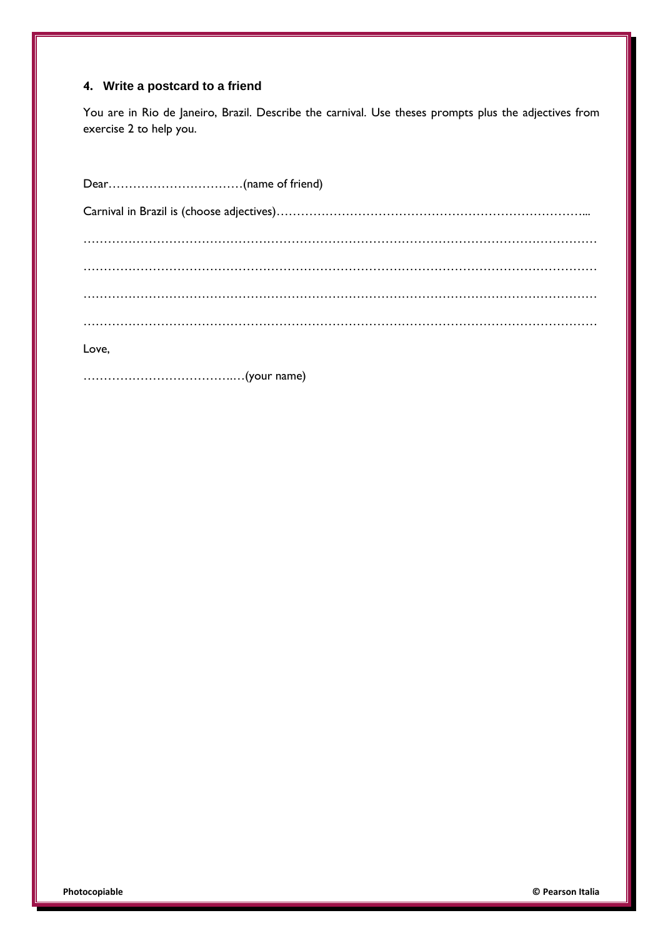## **4. Write a postcard to a friend**

You are in Rio de Janeiro, Brazil. Describe the carnival. Use theses prompts plus the adjectives from exercise 2 to help you.

| Love, |  |
|-------|--|

……………………………….…(your name)